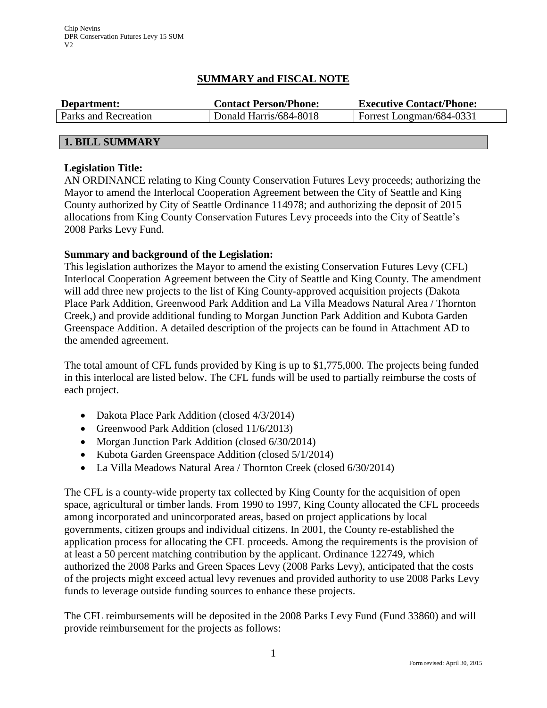# **SUMMARY and FISCAL NOTE**

| Department:          | <b>Contact Person/Phone:</b> | <b>Executive Contact/Phone:</b> |  |  |
|----------------------|------------------------------|---------------------------------|--|--|
| Parks and Recreation | Donald Harris/684-8018       | Forrest Longman/684-0331        |  |  |
|                      |                              |                                 |  |  |

# **Legislation Title:**

**1. BILL SUMMARY**

AN ORDINANCE relating to King County Conservation Futures Levy proceeds; authorizing the Mayor to amend the Interlocal Cooperation Agreement between the City of Seattle and King County authorized by City of Seattle Ordinance 114978; and authorizing the deposit of 2015 allocations from King County Conservation Futures Levy proceeds into the City of Seattle's 2008 Parks Levy Fund.

# **Summary and background of the Legislation:**

This legislation authorizes the Mayor to amend the existing Conservation Futures Levy (CFL) Interlocal Cooperation Agreement between the City of Seattle and King County. The amendment will add three new projects to the list of King County-approved acquisition projects (Dakota Place Park Addition, Greenwood Park Addition and La Villa Meadows Natural Area / Thornton Creek,) and provide additional funding to Morgan Junction Park Addition and Kubota Garden Greenspace Addition. A detailed description of the projects can be found in Attachment AD to the amended agreement.

The total amount of CFL funds provided by King is up to \$1,775,000. The projects being funded in this interlocal are listed below. The CFL funds will be used to partially reimburse the costs of each project.

- Dakota Place Park Addition (closed 4/3/2014)
- Greenwood Park Addition (closed 11/6/2013)
- Morgan Junction Park Addition (closed 6/30/2014)
- Kubota Garden Greenspace Addition (closed 5/1/2014)
- La Villa Meadows Natural Area / Thornton Creek (closed 6/30/2014)

The CFL is a county-wide property tax collected by King County for the acquisition of open space, agricultural or timber lands. From 1990 to 1997, King County allocated the CFL proceeds among incorporated and unincorporated areas, based on project applications by local governments, citizen groups and individual citizens. In 2001, the County re-established the application process for allocating the CFL proceeds. Among the requirements is the provision of at least a 50 percent matching contribution by the applicant. Ordinance 122749, which authorized the 2008 Parks and Green Spaces Levy (2008 Parks Levy), anticipated that the costs of the projects might exceed actual levy revenues and provided authority to use 2008 Parks Levy funds to leverage outside funding sources to enhance these projects.

The CFL reimbursements will be deposited in the 2008 Parks Levy Fund (Fund 33860) and will provide reimbursement for the projects as follows: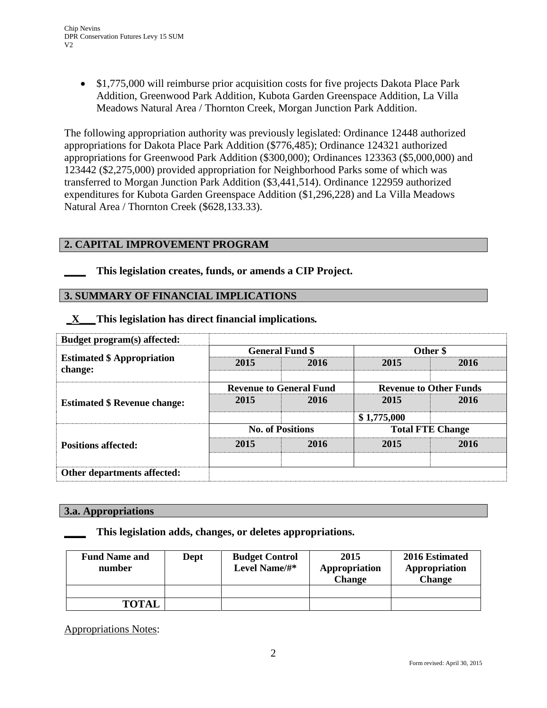• \$1,775,000 will reimburse prior acquisition costs for five projects Dakota Place Park Addition, Greenwood Park Addition, Kubota Garden Greenspace Addition, La Villa Meadows Natural Area / Thornton Creek, Morgan Junction Park Addition.

The following appropriation authority was previously legislated: Ordinance 12448 authorized appropriations for Dakota Place Park Addition (\$776,485); Ordinance 124321 authorized appropriations for Greenwood Park Addition (\$300,000); Ordinances 123363 (\$5,000,000) and 123442 (\$2,275,000) provided appropriation for Neighborhood Parks some of which was transferred to Morgan Junction Park Addition (\$3,441,514). Ordinance 122959 authorized expenditures for Kubota Garden Greenspace Addition (\$1,296,228) and La Villa Meadows Natural Area / Thornton Creek (\$628,133.33).

# **2. CAPITAL IMPROVEMENT PROGRAM**

**\_\_\_\_ This legislation creates, funds, or amends a CIP Project.** 

# **3. SUMMARY OF FINANCIAL IMPLICATIONS**

| Budget program(s) affected:                  |                                |      |                               |      |  |
|----------------------------------------------|--------------------------------|------|-------------------------------|------|--|
|                                              | <b>General Fund \$</b>         |      | Other \$                      |      |  |
| <b>Estimated \$ Appropriation</b><br>change: | 2015                           | 2016 | 2015                          | 2016 |  |
| <b>Estimated \$ Revenue change:</b>          | <b>Revenue to General Fund</b> |      | <b>Revenue to Other Funds</b> |      |  |
|                                              | 2015                           | 2016 | 2015                          | 2016 |  |
|                                              |                                |      | \$1,775,000                   |      |  |
| <b>Positions affected:</b>                   | <b>No. of Positions</b>        |      | <b>Total FTE Change</b>       |      |  |
|                                              | 2015                           | 2016 | 2015                          | 2016 |  |
| Other departments affected:                  |                                |      |                               |      |  |

**\_X\_\_\_This legislation has direct financial implications***.*

### **3.a. Appropriations**

### **\_\_\_\_ This legislation adds, changes, or deletes appropriations.**

| <b>Fund Name and</b><br>number | Dept | <b>Budget Control</b><br>Level Name/#* | 2015<br>Appropriation<br><b>Change</b> | 2016 Estimated<br>Appropriation<br><b>Change</b> |  |
|--------------------------------|------|----------------------------------------|----------------------------------------|--------------------------------------------------|--|
|                                |      |                                        |                                        |                                                  |  |
| <b>TOTAL</b>                   |      |                                        |                                        |                                                  |  |

Appropriations Notes: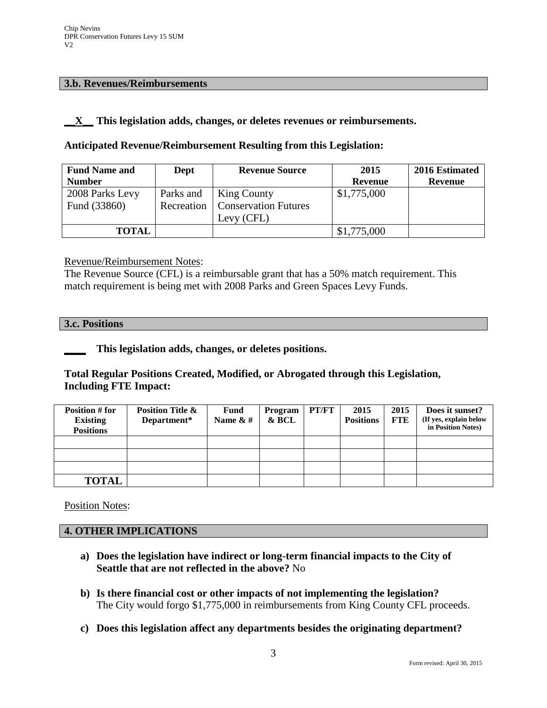# **3.b. Revenues/Reimbursements**

# **\_\_X\_\_ This legislation adds, changes, or deletes revenues or reimbursements.**

# **Anticipated Revenue/Reimbursement Resulting from this Legislation:**

| <b>Fund Name and</b> | Dept       | <b>Revenue Source</b>       | 2015           | 2016 Estimated |
|----------------------|------------|-----------------------------|----------------|----------------|
| <b>Number</b>        |            |                             | <b>Revenue</b> | <b>Revenue</b> |
| 2008 Parks Levy      | Parks and  | <b>King County</b>          | \$1,775,000    |                |
| Fund (33860)         | Recreation | <b>Conservation Futures</b> |                |                |
|                      |            | Levy (CFL)                  |                |                |
| <b>TOTAL</b>         |            |                             | \$1,775,000    |                |

Revenue/Reimbursement Notes:

The Revenue Source (CFL) is a reimbursable grant that has a 50% match requirement. This match requirement is being met with 2008 Parks and Green Spaces Levy Funds.

#### **3.c. Positions**

# **\_\_\_\_ This legislation adds, changes, or deletes positions.**

# **Total Regular Positions Created, Modified, or Abrogated through this Legislation, Including FTE Impact:**

| Position # for<br><b>Existing</b><br><b>Positions</b> | <b>Position Title &amp;</b><br>Department* | <b>Fund</b><br>Name $&#</math></th><th>Program<br>& BCL</th><th>PT/FT</th><th>2015<br><b>Positions</b></th><th>2015<br><b>FTE</b></th><th>Does it sunset?<br>(If yes, explain below<br>in Position Notes)</th></tr><tr><td></td><td></td><td></td><td></td><td></td><td></td><td></td><td></td></tr><tr><td></td><td></td><td></td><td></td><td></td><td></td><td></td><td></td></tr><tr><td></td><td></td><td></td><td></td><td></td><td></td><td></td><td></td></tr><tr><td><b>TOTAL</b></td><td></td><td></td><td></td><td></td><td></td><td></td><td></td></tr></tbody></table>$ |
|-------------------------------------------------------|--------------------------------------------|--------------------------------------------------------------------------------------------------------------------------------------------------------------------------------------------------------------------------------------------------------------------------------------------------------------------------------------------------------------------------------------------------------------------------------------------------------------------------------------------------------------------------------------------------------------------------------------|
|-------------------------------------------------------|--------------------------------------------|--------------------------------------------------------------------------------------------------------------------------------------------------------------------------------------------------------------------------------------------------------------------------------------------------------------------------------------------------------------------------------------------------------------------------------------------------------------------------------------------------------------------------------------------------------------------------------------|

Position Notes:

# **4. OTHER IMPLICATIONS**

- **a) Does the legislation have indirect or long-term financial impacts to the City of Seattle that are not reflected in the above?** No
- **b) Is there financial cost or other impacts of not implementing the legislation?** The City would forgo \$1,775,000 in reimbursements from King County CFL proceeds.
- **c) Does this legislation affect any departments besides the originating department?**